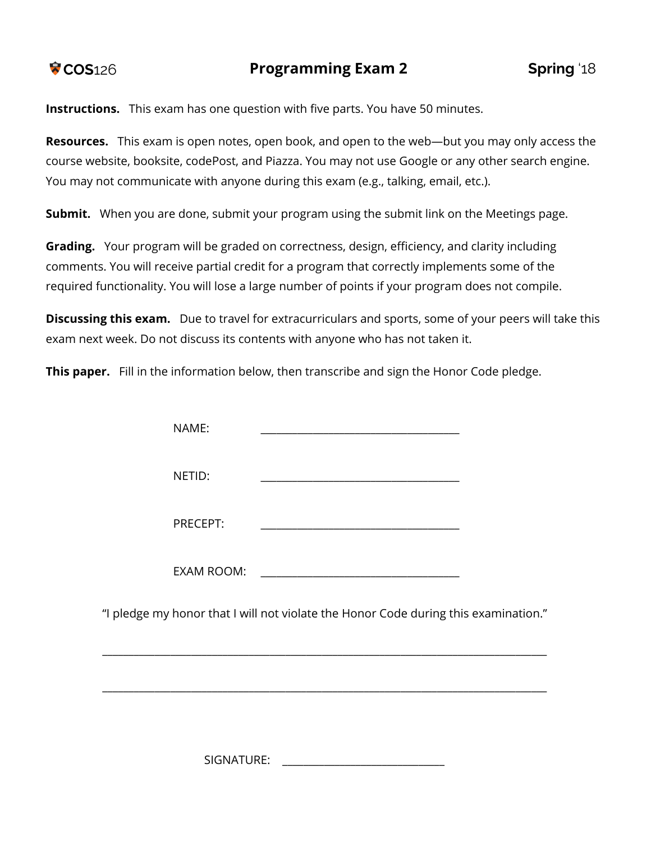**Instructions.** This exam has one question with five parts. You have 50 minutes.

**Resources.** This exam is open notes, open book, and open to the web—but you may only access the course website, booksite, codePost, and Piazza. You may not use Google or any other search engine. You may not communicate with anyone during this exam (e.g., talking, email, etc.).

**Submit.** When you are done, submit your program using the submit link on the Meetings page.

**Grading.** Your program will be graded on correctness, design, efficiency, and clarity including comments. You will receive partial credit for a program that correctly implements some of the required functionality. You will lose a large number of points if your program does not compile.

**Discussing this exam.** Due to travel for extracurriculars and sports, some of your peers will take this exam next week. Do not discuss its contents with anyone who has not taken it.

**This paper.** Fill in the information below, then transcribe and sign the Honor Code pledge.

| NAME:      |                                                                                     |  |
|------------|-------------------------------------------------------------------------------------|--|
| NETID:     |                                                                                     |  |
| PRECEPT:   |                                                                                     |  |
| EXAM ROOM: |                                                                                     |  |
|            | "I pledge my honor that I will not violate the Honor Code during this examination." |  |

SIGNATURE:

\_\_\_\_\_\_\_\_\_\_\_\_\_\_\_\_\_\_\_\_\_\_\_\_\_\_\_\_\_\_\_\_\_\_\_\_\_\_\_\_\_\_\_\_\_\_\_\_\_\_\_\_\_\_\_\_\_\_\_\_\_\_\_\_\_\_\_\_\_\_\_\_\_\_\_\_\_\_\_\_\_\_\_\_\_

\_\_\_\_\_\_\_\_\_\_\_\_\_\_\_\_\_\_\_\_\_\_\_\_\_\_\_\_\_\_\_\_\_\_\_\_\_\_\_\_\_\_\_\_\_\_\_\_\_\_\_\_\_\_\_\_\_\_\_\_\_\_\_\_\_\_\_\_\_\_\_\_\_\_\_\_\_\_\_\_\_\_\_\_\_